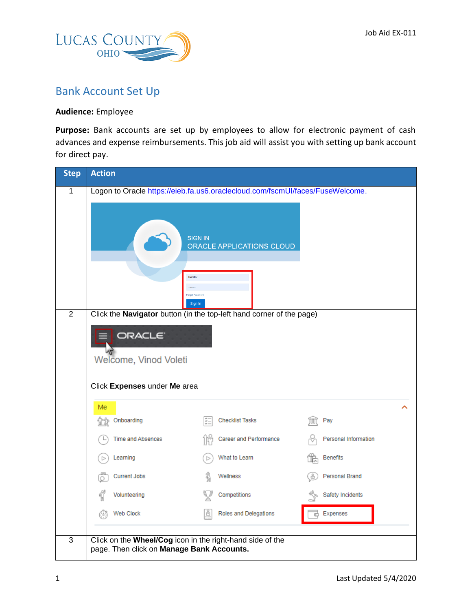

## Bank Account Set Up

## **Audience:** Employee

Purpose: Bank accounts are set up by employees to allow for electronic payment of cash advances and expense reimbursements. This job aid will assist you with setting up bank account for direct pay.

| <b>Step</b>    | <b>Action</b>                                                                                                                                        |                                                                                                                                                                            |                             |  |  |
|----------------|------------------------------------------------------------------------------------------------------------------------------------------------------|----------------------------------------------------------------------------------------------------------------------------------------------------------------------------|-----------------------------|--|--|
| $\mathbf{1}$   |                                                                                                                                                      | Logon to Oracle https://eieb.fa.us6.oraclecloud.com/fscmUI/faces/FuseWelcome.<br><b>SIGN IN</b><br>ORACLE APPLICATIONS CLOUD<br>bkmiller<br><br>Forgot Password<br>Sign In |                             |  |  |
| $\overline{2}$ | Click the Navigator button (in the top-left hand corner of the page)<br>ORACLE <sup>®</sup><br>Welcome, Vinod Voleti<br>Click Expenses under Me area |                                                                                                                                                                            |                             |  |  |
|                | Me<br>Onboarding<br>V3                                                                                                                               | <b>Checklist Tasks</b>                                                                                                                                                     | Pay                         |  |  |
|                | Time and Absences                                                                                                                                    | Career and Performance                                                                                                                                                     | <b>Personal Information</b> |  |  |
|                | Learning                                                                                                                                             | What to Learn                                                                                                                                                              | <b>Benefits</b>             |  |  |
|                | <b>Current Jobs</b>                                                                                                                                  | Wellness                                                                                                                                                                   | Personal Brand              |  |  |
|                | Volunteering                                                                                                                                         | Competitions                                                                                                                                                               | Safety Incidents            |  |  |
|                | Web Clock                                                                                                                                            | ů<br>Roles and Delegations                                                                                                                                                 | Expenses                    |  |  |
| $\overline{3}$ | page. Then click on Manage Bank Accounts.                                                                                                            | Click on the Wheel/Cog icon in the right-hand side of the                                                                                                                  |                             |  |  |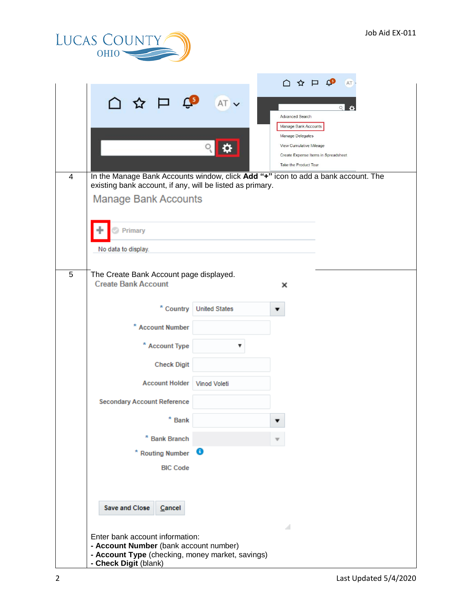

|                |                                                                                                                                    |                           | $\cap$ $\uparrow$ $\uparrow$ $\circ$<br><b>AT</b>                                 |  |
|----------------|------------------------------------------------------------------------------------------------------------------------------------|---------------------------|-----------------------------------------------------------------------------------|--|
|                | △☆戸♀                                                                                                                               | AT v                      | $\circ$<br><b>Advanced Search</b>                                                 |  |
|                |                                                                                                                                    |                           | Manage Bank Accounts                                                              |  |
|                |                                                                                                                                    |                           | Manage Delegates                                                                  |  |
|                |                                                                                                                                    |                           | View Cumulative Mileage<br>Create Expense Items in Spreadsheet                    |  |
|                |                                                                                                                                    |                           | Take the Product Tour                                                             |  |
| $\overline{4}$ | existing bank account, if any, will be listed as primary.                                                                          |                           | In the Manage Bank Accounts window, click Add "+" icon to add a bank account. The |  |
|                | <b>Manage Bank Accounts</b>                                                                                                        |                           |                                                                                   |  |
|                | Primary                                                                                                                            |                           |                                                                                   |  |
|                | No data to display.                                                                                                                |                           |                                                                                   |  |
|                |                                                                                                                                    |                           |                                                                                   |  |
| 5              | The Create Bank Account page displayed.<br><b>Create Bank Account</b>                                                              |                           | ×                                                                                 |  |
|                |                                                                                                                                    | * Country   United States |                                                                                   |  |
|                | * Account Number                                                                                                                   |                           |                                                                                   |  |
|                | * Account Type                                                                                                                     |                           |                                                                                   |  |
|                | <b>Check Digit</b>                                                                                                                 |                           |                                                                                   |  |
|                | <b>Account Holder</b><br><b>Secondary Account Reference</b>                                                                        | <b>Vinod Voleti</b>       |                                                                                   |  |
|                | $*$ Bank                                                                                                                           |                           |                                                                                   |  |
|                | * Bank Branch                                                                                                                      |                           |                                                                                   |  |
|                | * Routing Number                                                                                                                   | €                         |                                                                                   |  |
|                | <b>BIC Code</b>                                                                                                                    |                           |                                                                                   |  |
|                |                                                                                                                                    |                           |                                                                                   |  |
|                | <b>Save and Close</b><br>Cancel                                                                                                    |                           |                                                                                   |  |
|                | ᆁ<br>Enter bank account information:<br>- Account Number (bank account number)<br>- Account Type (checking, money market, savings) |                           |                                                                                   |  |
|                | - Check Digit (blank)                                                                                                              |                           |                                                                                   |  |